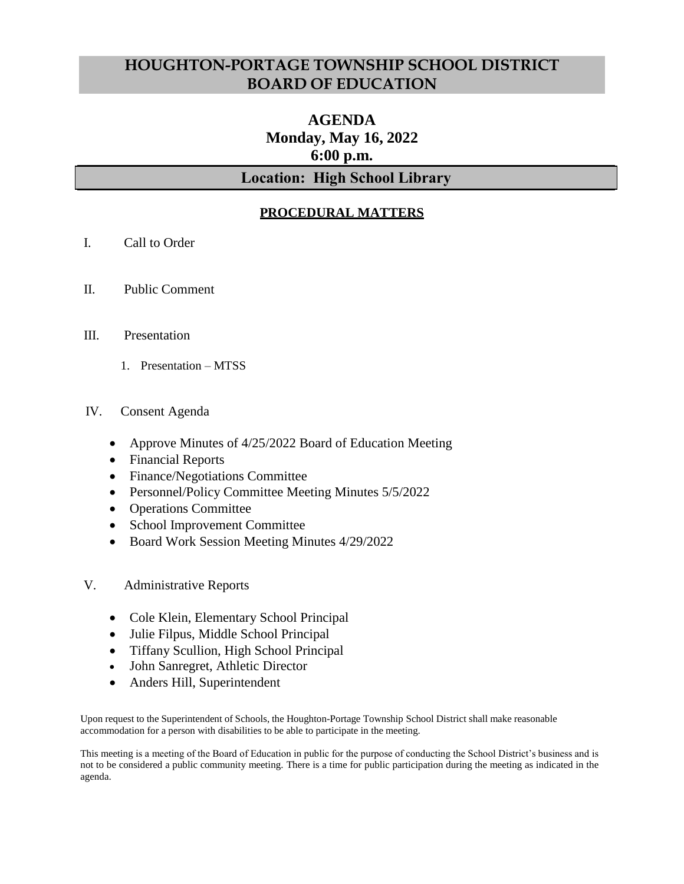## **HOUGHTON-PORTAGE TOWNSHIP SCHOOL DISTRICT BOARD OF EDUCATION**

# **AGENDA Monday, May 16, 2022 6:00 p.m.**

## **Location: High School Library**

## **PROCEDURAL MATTERS**

- I. Call to Order
- II. Public Comment
- III. Presentation
	- 1. Presentation MTSS
- IV. Consent Agenda
	- Approve Minutes of 4/25/2022 Board of Education Meeting
	- Financial Reports
	- Finance/Negotiations Committee
	- Personnel/Policy Committee Meeting Minutes 5/5/2022
	- Operations Committee
	- School Improvement Committee
	- Board Work Session Meeting Minutes 4/29/2022
- V. Administrative Reports
	- Cole Klein, Elementary School Principal
	- Julie Filpus, Middle School Principal
	- Tiffany Scullion, High School Principal
	- John Sanregret, Athletic Director
	- Anders Hill, Superintendent

Upon request to the Superintendent of Schools, the Houghton-Portage Township School District shall make reasonable accommodation for a person with disabilities to be able to participate in the meeting.

This meeting is a meeting of the Board of Education in public for the purpose of conducting the School District's business and is not to be considered a public community meeting. There is a time for public participation during the meeting as indicated in the agenda.